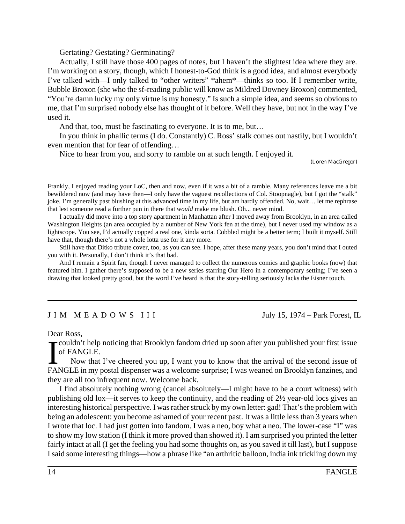Gertating? Gestating? Germinating?

Actually, I still have those 400 pages of notes, but I haven't the slightest idea where they are. I'm working on a story, though, which I honest-to-God think is a good idea, and almost everybody I've talked with—I only talked to "other writers" \*ahem\*—thinks so too. If I remember write, Bubble Broxon (she who the sf-reading public will know as Mildred Downey Broxon) commented, "You're damn lucky my only virtue is my honesty." Is such a simple idea, and seems so obvious to me, that I'm surprised nobody else has thought of it before. Well they have, but not in the way I've used it.

And that, too, must be fascinating to everyone. It is to me, but…

In you think in phallic terms (I do. Constantly) C. Ross' stalk comes out nastily, but I wouldn't even mention that for fear of offending…

Nice to hear from you, and sorry to ramble on at such length. I enjoyed it.

(Loren MacGregor)

Frankly, I enjoyed reading your LoC, then and now, even if it was a bit of a ramble. Many references leave me a bit bewildered now (and may have then—I only have the vaguest recollections of Col. Stoopnagle), but I got the "stalk" joke. I'm generally past blushing at this advanced time in my life, but am hardly offended. No, wait… let me rephrase that lest someone read a further pun in there that *would* make me blush. Oh... never mind.

I actually did move into a top story apartment in Manhattan after I moved away from Brooklyn, in an area called Washington Heights (an area occupied by a number of New York fen at the time), but I never used my window as a lightscope. You see, I'd actually copped a real one, kinda sorta. Cobbled might be a better term; I built it myself. Still have that, though there's not a whole lotta use for it any more.

Still have that Ditko tribute cover, too, as you can see. I hope, after these many years, you don't mind that I outed you with it. Personally, I don't think it's that bad.

And I remain a Spirit fan, though I never managed to collect the numerous comics and graphic books (now) that featured him. I gather there's supposed to be a new series starring Our Hero in a contemporary setting; I've seen a drawing that looked pretty good, but the word I've heard is that the story-telling seriously lacks the Eisner touch.

## J I M M E A D O W S I I I July 15, 1974 – Park Forest, IL

Dear Ross,

The Tech Tech is the proticing that Brooklyn fandom dried up soon after you published your first issue of FANGLE.<br>Now that I've cheered you up, I want you to know that the arrival of the second issue of FANGLE in my postal -couldn't help noticing that Brooklyn fandom dried up soon after you published your first issue of FANGLE.

Now that I've cheered you up, I want you to know that the arrival of the second issue of they are all too infrequent now. Welcome back.

I find absolutely nothing wrong (cancel absolutely—I might have to be a court witness) with publishing old lox—it serves to keep the continuity, and the reading of 2½ year-old locs gives an interesting historical perspective. I was rather struck by my own letter: gad! That's the problem with being an adolescent: you become ashamed of your recent past. It was a little less than 3 years when I wrote that loc. I had just gotten into fandom. I was a neo, boy what a neo. The lower-case "I" was to show my low station (I think it more proved than showed it). I am surprised you printed the letter fairly intact at all (I get the feeling you had some thoughts on, as you saved it till last), but I suppose I said some interesting things—how a phrase like "an arthritic balloon, india ink trickling down my